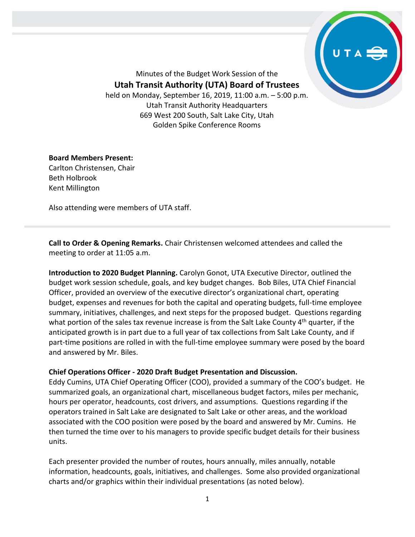

Minutes of the Budget Work Session of the **Utah Transit Authority (UTA) Board of Trustees** held on Monday, September 16, 2019, 11:00 a.m. – 5:00 p.m. Utah Transit Authority Headquarters 669 West 200 South, Salt Lake City, Utah

Golden Spike Conference Rooms

## **Board Members Present:**

Carlton Christensen, Chair Beth Holbrook Kent Millington

Also attending were members of UTA staff.

**Call to Order & Opening Remarks.** Chair Christensen welcomed attendees and called the meeting to order at 11:05 a.m.

**Introduction to 2020 Budget Planning.** Carolyn Gonot, UTA Executive Director, outlined the budget work session schedule, goals, and key budget changes. Bob Biles, UTA Chief Financial Officer, provided an overview of the executive director's organizational chart, operating budget, expenses and revenues for both the capital and operating budgets, full-time employee summary, initiatives, challenges, and next steps for the proposed budget. Questions regarding what portion of the sales tax revenue increase is from the Salt Lake County  $4<sup>th</sup>$  quarter, if the anticipated growth is in part due to a full year of tax collections from Salt Lake County, and if part-time positions are rolled in with the full-time employee summary were posed by the board and answered by Mr. Biles.

## **Chief Operations Officer - 2020 Draft Budget Presentation and Discussion.**

Eddy Cumins, UTA Chief Operating Officer (COO), provided a summary of the COO's budget. He summarized goals, an organizational chart, miscellaneous budget factors, miles per mechanic, hours per operator, headcounts, cost drivers, and assumptions. Questions regarding if the operators trained in Salt Lake are designated to Salt Lake or other areas, and the workload associated with the COO position were posed by the board and answered by Mr. Cumins. He then turned the time over to his managers to provide specific budget details for their business units.

Each presenter provided the number of routes, hours annually, miles annually, notable information, headcounts, goals, initiatives, and challenges. Some also provided organizational charts and/or graphics within their individual presentations (as noted below).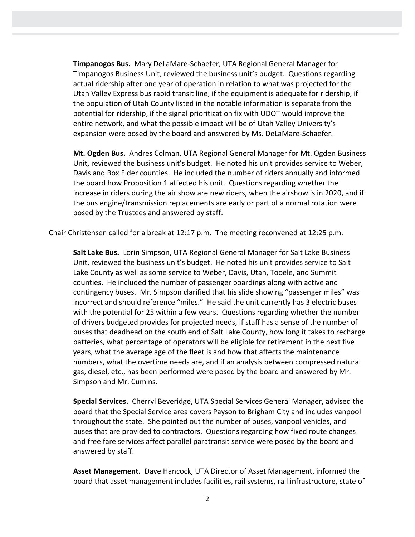**Timpanogos Bus.** Mary DeLaMare-Schaefer, UTA Regional General Manager for Timpanogos Business Unit, reviewed the business unit's budget. Questions regarding actual ridership after one year of operation in relation to what was projected for the Utah Valley Express bus rapid transit line, if the equipment is adequate for ridership, if the population of Utah County listed in the notable information is separate from the potential for ridership, if the signal prioritization fix with UDOT would improve the entire network, and what the possible impact will be of Utah Valley University's expansion were posed by the board and answered by Ms. DeLaMare-Schaefer.

**Mt. Ogden Bus.** Andres Colman, UTA Regional General Manager for Mt. Ogden Business Unit, reviewed the business unit's budget. He noted his unit provides service to Weber, Davis and Box Elder counties. He included the number of riders annually and informed the board how Proposition 1 affected his unit. Questions regarding whether the increase in riders during the air show are new riders, when the airshow is in 2020, and if the bus engine/transmission replacements are early or part of a normal rotation were posed by the Trustees and answered by staff.

Chair Christensen called for a break at 12:17 p.m. The meeting reconvened at 12:25 p.m.

**Salt Lake Bus.** Lorin Simpson, UTA Regional General Manager for Salt Lake Business Unit, reviewed the business unit's budget. He noted his unit provides service to Salt Lake County as well as some service to Weber, Davis, Utah, Tooele, and Summit counties. He included the number of passenger boardings along with active and contingency buses. Mr. Simpson clarified that his slide showing "passenger miles" was incorrect and should reference "miles." He said the unit currently has 3 electric buses with the potential for 25 within a few years. Questions regarding whether the number of drivers budgeted provides for projected needs, if staff has a sense of the number of buses that deadhead on the south end of Salt Lake County, how long it takes to recharge batteries, what percentage of operators will be eligible for retirement in the next five years, what the average age of the fleet is and how that affects the maintenance numbers, what the overtime needs are, and if an analysis between compressed natural gas, diesel, etc., has been performed were posed by the board and answered by Mr. Simpson and Mr. Cumins.

**Special Services.** Cherryl Beveridge, UTA Special Services General Manager, advised the board that the Special Service area covers Payson to Brigham City and includes vanpool throughout the state. She pointed out the number of buses, vanpool vehicles, and buses that are provided to contractors. Questions regarding how fixed route changes and free fare services affect parallel paratransit service were posed by the board and answered by staff.

**Asset Management.** Dave Hancock, UTA Director of Asset Management, informed the board that asset management includes facilities, rail systems, rail infrastructure, state of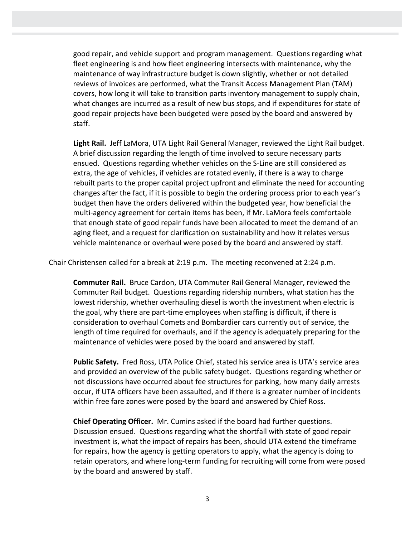good repair, and vehicle support and program management. Questions regarding what fleet engineering is and how fleet engineering intersects with maintenance, why the maintenance of way infrastructure budget is down slightly, whether or not detailed reviews of invoices are performed, what the Transit Access Management Plan (TAM) covers, how long it will take to transition parts inventory management to supply chain, what changes are incurred as a result of new bus stops, and if expenditures for state of good repair projects have been budgeted were posed by the board and answered by staff.

**Light Rail.** Jeff LaMora, UTA Light Rail General Manager, reviewed the Light Rail budget. A brief discussion regarding the length of time involved to secure necessary parts ensued. Questions regarding whether vehicles on the S-Line are still considered as extra, the age of vehicles, if vehicles are rotated evenly, if there is a way to charge rebuilt parts to the proper capital project upfront and eliminate the need for accounting changes after the fact, if it is possible to begin the ordering process prior to each year's budget then have the orders delivered within the budgeted year, how beneficial the multi-agency agreement for certain items has been, if Mr. LaMora feels comfortable that enough state of good repair funds have been allocated to meet the demand of an aging fleet, and a request for clarification on sustainability and how it relates versus vehicle maintenance or overhaul were posed by the board and answered by staff.

Chair Christensen called for a break at 2:19 p.m. The meeting reconvened at 2:24 p.m.

**Commuter Rail.** Bruce Cardon, UTA Commuter Rail General Manager, reviewed the Commuter Rail budget. Questions regarding ridership numbers, what station has the lowest ridership, whether overhauling diesel is worth the investment when electric is the goal, why there are part-time employees when staffing is difficult, if there is consideration to overhaul Comets and Bombardier cars currently out of service, the length of time required for overhauls, and if the agency is adequately preparing for the maintenance of vehicles were posed by the board and answered by staff.

**Public Safety.** Fred Ross, UTA Police Chief, stated his service area is UTA's service area and provided an overview of the public safety budget. Questions regarding whether or not discussions have occurred about fee structures for parking, how many daily arrests occur, if UTA officers have been assaulted, and if there is a greater number of incidents within free fare zones were posed by the board and answered by Chief Ross.

**Chief Operating Officer.** Mr. Cumins asked if the board had further questions. Discussion ensued. Questions regarding what the shortfall with state of good repair investment is, what the impact of repairs has been, should UTA extend the timeframe for repairs, how the agency is getting operators to apply, what the agency is doing to retain operators, and where long-term funding for recruiting will come from were posed by the board and answered by staff.